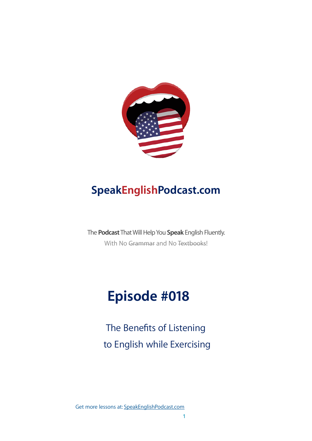

### **SpeakEnglishPodcast.com**

The **Podcast** That Will Help You **Speak** English Fluently. With No Grammar and No Textbooks!

# **Episode #018**

The Benefits of Listening to English while Exercising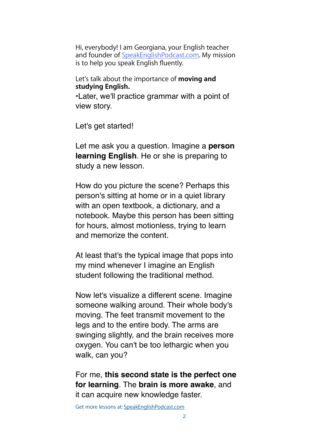Hi, everybody! I am Georgiana, your English teacher and founder of [SpeakEnglishPodcast.com](http://speakenglishpodcast.com/). My mission is to help you speak English fluently.

Let's talk about the importance of **moving and studying English.**

•Later, we'll practice grammar with a point of view story.

Let's get started!

Let me ask you a question. Imagine a **person learning English**. He or she is preparing to study a new lesson.

How do you picture the scene? Perhaps this person's sitting at home or in a quiet library with an open textbook, a dictionary, and a notebook. Maybe this person has been sitting for hours, almost motionless, trying to learn and memorize the content.

At least that's the typical image that pops into my mind whenever I imagine an English student following the traditional method.

Now let's visualize a different scene. Imagine someone walking around. Their whole body's moving. The feet transmit movement to the legs and to the entire body. The arms are swinging slightly, and the brain receives more oxygen. You can't be too lethargic when you walk, can you?

For me, **this second state is the perfect one for learning**. The **brain is more awake**, and it can acquire new knowledge faster.

Get more lessons at: [SpeakEnglishPodcast.com](https://www.speakenglishpod.com/)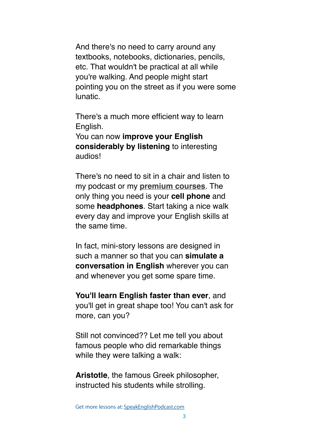And there's no need to carry around any textbooks, notebooks, dictionaries, pencils, etc. That wouldn't be practical at all while you're walking. And people might start pointing you on the street as if you were some lunatic.

There's a much more efficient way to learn English.

You can now **improve your English considerably by listening** to interesting audios!

There's no need to sit in a chair and listen to my podcast or my **[premium courses](https://speakenglishpodcast.com/courses)**. The only thing you need is your **cell phone** and some **headphones**. Start taking a nice walk every day and improve your English skills at the same time.

In fact, mini-story lessons are designed in such a manner so that you can **simulate a conversation in English** wherever you can and whenever you get some spare time.

**You'll learn English faster than ever**, and you'll get in great shape too! You can't ask for more, can you?

Still not convinced?? Let me tell you about famous people who did remarkable things while they were talking a walk:

**Aristotle**, the famous Greek philosopher, instructed his students while strolling.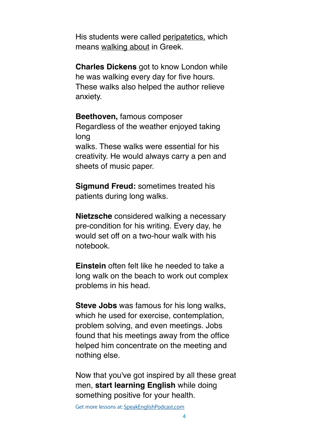His students were called peripatetics, which means walking about in Greek.

**Charles Dickens** got to know London while he was walking every day for five hours. These walks also helped the author relieve anxiety.

**Beethoven,** famous composer Regardless of the weather enjoyed taking long walks. These walks were essential for his creativity. He would always carry a pen and sheets of music paper.

**Sigmund Freud:** sometimes treated his patients during long walks.

**Nietzsche** considered walking a necessary pre-condition for his writing. Every day, he would set off on a two-hour walk with his notebook.

**Einstein** often felt like he needed to take a long walk on the beach to work out complex problems in his head.

**Steve Jobs** was famous for his long walks, which he used for exercise, contemplation, problem solving, and even meetings. Jobs found that his meetings away from the office helped him concentrate on the meeting and nothing else.

Now that you've got inspired by all these great men, **start learning English** while doing something positive for your health.

Get more lessons at: [SpeakEnglishPodcast.com](https://www.speakenglishpod.com/)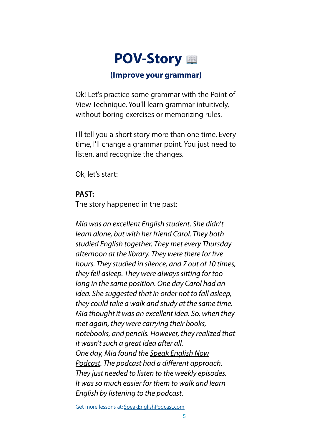## **POV-Story**

### **(Improve your grammar)**

Ok! Let's practice some grammar with the Point of View Technique. You'll learn grammar intuitively, without boring exercises or memorizing rules.

I'll tell you a short story more than one time. Every time, I'll change a grammar point. You just need to listen, and recognize the changes.

Ok, let's start:

#### **PAST:**

The story happened in the past:

*Mia was an excellent English student. She didn't learn alone, but with her friend Carol. They both studied English together. They met every Thursday afternoon at the library. They were there for* fi*ve hours. They studied in silence, and 7 out of 10 times, they fell asleep. They were always sitting for too long in the same position. One day Carol had an idea. She suggested that in order not to fall asleep, they could take a walk and study at the same time. Mia thought it was an excellent idea. So, when they met again, they were carrying their books, notebooks, and pencils. However, they realized that it wasn't such a great idea after all. One day, Mia found the Speak English Now Podcast. The podcast had a di*ff*erent approach. They just needed to listen to the weekly episodes. It was so much easier for them to walk and learn English by listening to the podcast.*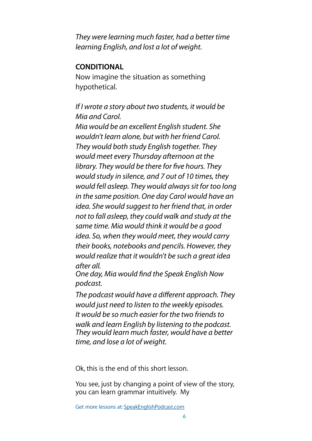*They were learning much faster, had a better time learning English, and lost a lot of weight.* 

#### **CONDITIONAL**

Now imagine the situation as something hypothetical.

*If I wrote a story about two students, it would be Mia and Carol.* 

*Mia would be an excellent English student. She wouldn't learn alone, but with her friend Carol. They would both study English together. They would meet every Thursday afternoon at the library. They would be there for* fi*ve hours. They would study in silence, and 7 out of 10 times, they would fell asleep. They would always sit for too long in the same position. One day Carol would have an idea. She would suggest to her friend that, in order not to fall asleep, they could walk and study at the same time. Mia would think it would be a good idea. So, when they would meet, they would carry their books, notebooks and pencils. However, they would realize that it wouldn't be such a great idea after all.* 

*One day, Mia would* fi*nd the Speak English Now podcast.* 

*The podcast would have a di*ff*erent approach. They would just need to listen to the weekly episodes. It would be so much easier for the two friends to walk and learn English by listening to the podcast. They would learn much faster, would have a better time, and lose a lot of weight.*

Ok, this is the end of this short lesson.

You see, just by changing a point of view of the story, you can learn grammar intuitively. My

Get more lessons at: [SpeakEnglishPodcast.com](https://www.speakenglishpod.com/)